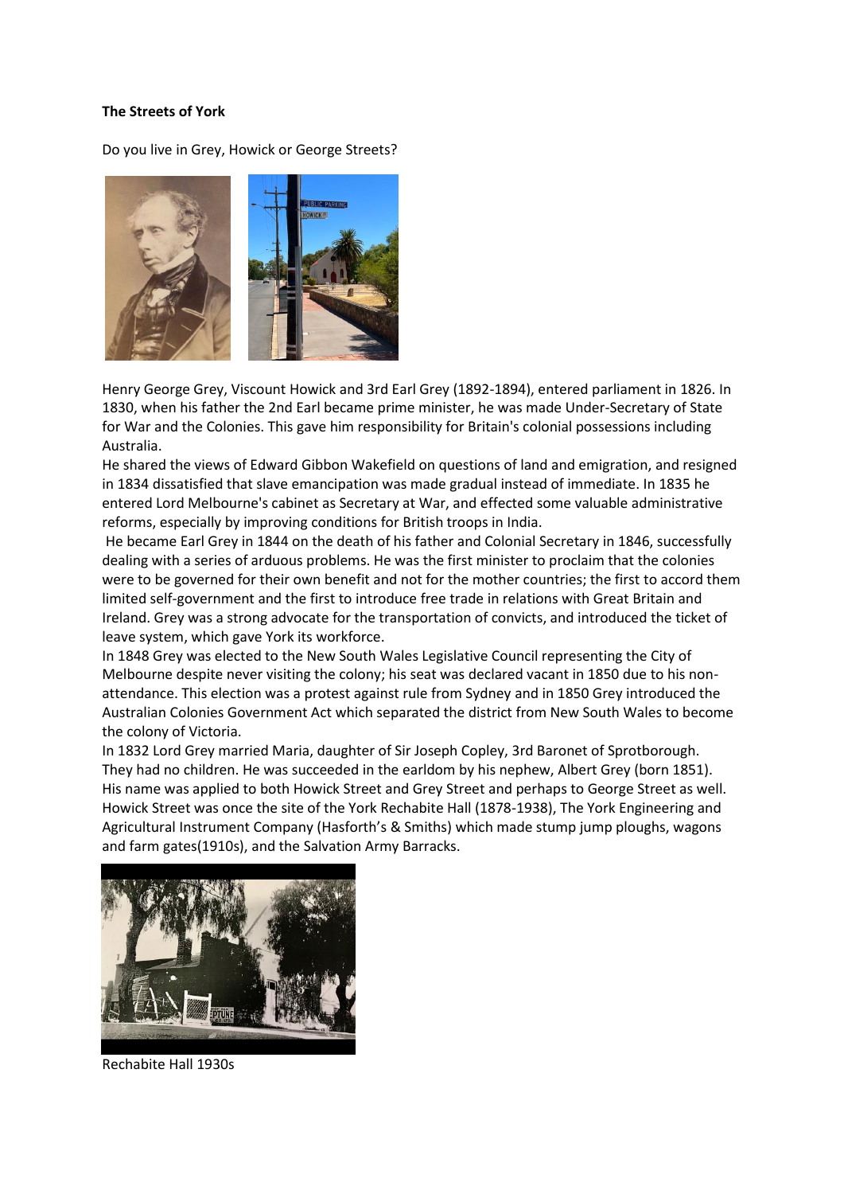## **The Streets of York**

Do you live in Grey, Howick or George Streets?



Henry George Grey, Viscount Howick and 3rd Earl Grey (1892-1894), entered parliament in 1826. In 1830, when his father the 2nd Earl became prime minister, he was made Under-Secretary of State for War and the Colonies. This gave him responsibility for Britain's colonial possessions including Australia.

He shared the views of Edward Gibbon Wakefield on questions of land and emigration, and resigned in 1834 dissatisfied that slave emancipation was made gradual instead of immediate. In 1835 he entered Lord Melbourne's cabinet as Secretary at War, and effected some valuable administrative reforms, especially by improving conditions for British troops in India.

He became Earl Grey in 1844 on the death of his father and Colonial Secretary in 1846, successfully dealing with a series of arduous problems. He was the first minister to proclaim that the colonies were to be governed for their own benefit and not for the mother countries; the first to accord them limited self-government and the first to introduce free trade in relations with Great Britain and Ireland. Grey was a strong advocate for the transportation of convicts, and introduced the ticket of leave system, which gave York its workforce.

In 1848 Grey was elected to the New South Wales Legislative Council representing the City of Melbourne despite never visiting the colony; his seat was declared vacant in 1850 due to his nonattendance. This election was a protest against rule from Sydney and in 1850 Grey introduced the Australian Colonies Government Act which separated the district from New South Wales to become the colony of Victoria.

In 1832 Lord Grey married Maria, daughter of Sir Joseph Copley, 3rd Baronet of Sprotborough. They had no children. He was succeeded in the earldom by his nephew, Albert Grey (born 1851). His name was applied to both Howick Street and Grey Street and perhaps to George Street as well. Howick Street was once the site of the York Rechabite Hall (1878-1938), The York Engineering and Agricultural Instrument Company (Hasforth's & Smiths) which made stump jump ploughs, wagons and farm gates(1910s), and the Salvation Army Barracks.



Rechabite Hall 1930s